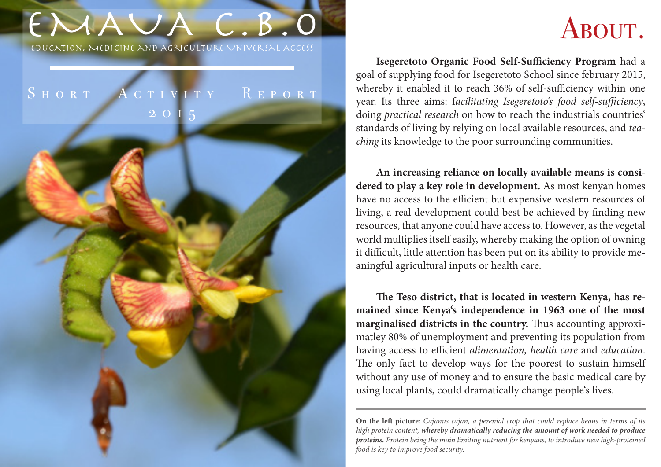# EMAUA C.B.O

Education, Medicine and Agriculture Universal Access

## SHORT ACTIVITY REPORT 2015

## ABOUT.

**Isegeretoto Organic Food Self-Sufficiency Program** had a goal of supplying food for Isegeretoto School since february 2015, whereby it enabled it to reach 36% of self-sufficiency within one year. Its three aims: f*acilitating Isegeretoto's food self-sufficiency*, doing *practical research* on how to reach the industrials countries' standards of living by relying on local available resources, and *teaching* its knowledge to the poor surrounding communities.

**An increasing reliance on locally available means is considered to play a key role in development.** As most kenyan homes have no access to the efficient but expensive western resources of living, a real development could best be achieved by finding new resources, that anyone could have access to. However, as the vegetal world multiplies itself easily, whereby making the option of owning it difficult, little attention has been put on its ability to provide meaningful agricultural inputs or health care.

**The Teso district, that is located in western Kenya, has remained since Kenya's independence in 1963 one of the most marginalised districts in the country.** Thus accounting approximatley 80% of unemployment and preventing its population from having access to efficient *alimentation, health care* and *education*. The only fact to develop ways for the poorest to sustain himself without any use of money and to ensure the basic medical care by using local plants, could dramatically change people's lives.

**On the left picture:** *Cajanus cajan, a perenial crop that could replace beans in terms of its high protein content, whereby dramatically reducing the amount of work needed to produce proteins. Protein being the main limiting nutrient for kenyans, to introduce new high-proteined food is key to improve food security.*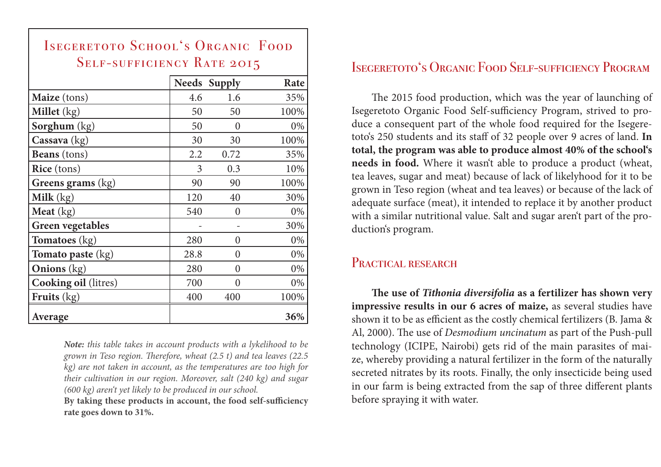| <b>SELF-SUFFICIENCY RATE 2015</b> |      |                     |      |
|-----------------------------------|------|---------------------|------|
|                                   |      | <b>Needs Supply</b> | Rate |
| Maize (tons)                      | 4.6  | 1.6                 | 35%  |
| Millet (kg)                       | 50   | 50                  | 100% |
| Sorghum (kg)                      | 50   | 0                   | 0%   |
| Cassava (kg)                      | 30   | 30                  | 100% |
| <b>Beans</b> (tons)               | 2.2  | 0.72                | 35%  |
| Rice (tons)                       | 3    | 0.3                 | 10%  |
| Greens grams (kg)                 | 90   | 90                  | 100% |
| <b>Milk</b> $(kg)$                | 120  | 40                  | 30%  |
| Meat $(kg)$                       | 540  | 0                   | 0%   |
| <b>Green vegetables</b>           |      |                     | 30%  |
| <b>Tomatoes</b> (kg)              | 280  | 0                   | 0%   |
| Tomato paste (kg)                 | 28.8 | 0                   | 0%   |
| <b>Onions</b> $(kg)$              | 280  | 0                   | 0%   |
| <b>Cooking oil (litres)</b>       | 700  | 0                   | 0%   |
| Fruits $(kg)$                     | 400  | 400                 | 100% |
| Average                           |      |                     | 36%  |

ISEGERETOTO SCHOOL'S ORGANIC FOOD

*Note: this table takes in account products with a lykelihood to be grown in Teso region. Therefore, wheat (2.5 t) and tea leaves (22.5 kg) are not taken in account, as the temperatures are too high for their cultivation in our region. Moreover, salt (240 kg) and sugar (600 kg) aren't yet likely to be produced in our school.*

**By taking these products in account, the food self-sufficiency rate goes down to 31%.**

### Isegeretoto's Organic Food Self-sufficiency Program

The 2015 food production, which was the year of launching of Isegeretoto Organic Food Self-sufficiency Program, strived to produce a consequent part of the whole food required for the Isegeretoto's 250 students and its staff of 32 people over 9 acres of land. **In total, the program was able to produce almost 40% of the school's needs in food.** Where it wasn't able to produce a product (wheat, tea leaves, sugar and meat) because of lack of likelyhood for it to be grown in Teso region (wheat and tea leaves) or because of the lack of adequate surface (meat), it intended to replace it by another product with a similar nutritional value. Salt and sugar aren't part of the production's program.

### PRACTICAL RESEARCH

**The use of** *Tithonia diversifolia* **as a fertilizer has shown very impressive results in our 6 acres of maize,** as several studies have shown it to be as efficient as the costly chemical fertilizers (B. Jama & Al, 2000). The use of *Desmodium uncinatum* as part of the Push-pull technology (ICIPE, Nairobi) gets rid of the main parasites of maize, whereby providing a natural fertilizer in the form of the naturally secreted nitrates by its roots. Finally, the only insecticide being used in our farm is being extracted from the sap of three different plants before spraying it with water.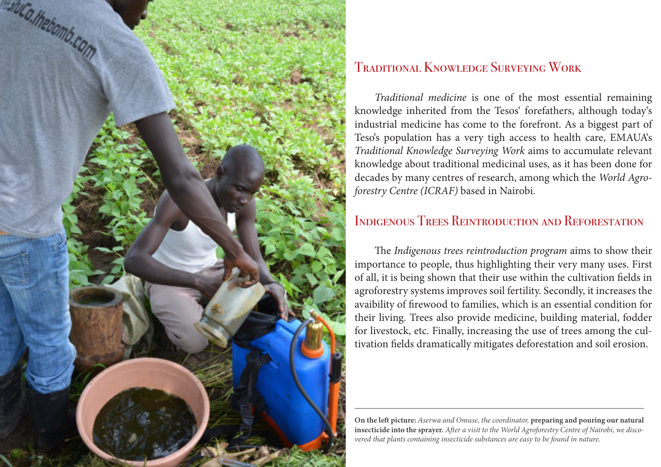

## Traditional Knowledge Surveying Work

*Traditional medicine* is one of the most essential remaining knowledge inherited from the Tesos' forefathers, although today's industrial medicine has come to the forefront. As a biggest part of Teso's population has a very tigh access to health care, EMAUA's *Traditional Knowledge Surveying Work* aims to accumulate relevant knowledge about traditional medicinal uses, as it has been done for decades by many centres of research, among which the *World Agroforestry Centre (ICRAF)* based in Nairobi.

## Indigenous Trees Reintroduction and Reforestation

The *Indigenous trees reintroduction program* aims to show their importance to people, thus highlighting their very many uses. First of all, it is being shown that their use within the cultivation fields in agroforestry systems improves soil fertility. Secondly, it increases the avaibility of firewood to families, which is an essential condition for their living. Trees also provide medicine, building material, fodder for livestock, etc. Finally, increasing the use of trees among the cultivation fields dramatically mitigates deforestation and soil erosion.

**On the left picture:** *Aserwa and Omuse, the coordinator,* **preparing and pouring our natural insecticide into the sprayer.** *After a visit to the World Agroforestry Centre of Nairobi, we discovered that plants containing insecticide substances are easy to be found in nature.*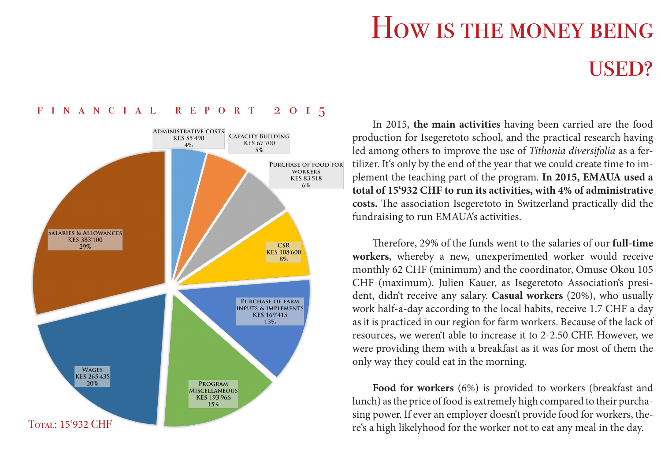# How is the money being USED?

#### **ADMINISTRATIVE COSTS CAPACITY BUILDING** KES 55'490 **KES 67'700**  $4\%$  $5\%$ PURCHASE OF FOOD FOR **WORKERS KES 83'518**  $6\%$ **SALARIES & ALLOWANCES KES 383'100 CSR**  $29%$ **KES 108'600**  $8\%$ **PURCHASE OF FARM INPUTS & IMPLEMENTS KES 169'415** 13% **WAGES KES 265'435** 20% PROGRAM **MISCELLANEOUS KES 193'966** 15% Total: 15'932 CHF

#### financial report 2015

In 2015, **the main activities** having been carried are the food production for Isegeretoto school, and the practical research having led among others to improve the use of *Tithonia diversifolia* as a fertilizer. It's only by the end of the year that we could create time to implement the teaching part of the program. **In 2015, EMAUA used a total of 15'932 CHF to run its activities, with 4% of administrative costs.** The association Isegeretoto in Switzerland practically did the fundraising to run EMAUA's activities.

Therefore, 29% of the funds went to the salaries of our **full-time workers**, whereby a new, unexperimented worker would receive monthly 62 CHF (minimum) and the coordinator, Omuse Okou 105 CHF (maximum). Julien Kauer, as Isegeretoto Association's president, didn't receive any salary. **Casual workers** (20%), who usually work half-a-day according to the local habits, receive 1.7 CHF a day as it is practiced in our region for farm workers. Because of the lack of resources, we weren't able to increase it to 2-2.50 CHF. However, we were providing them with a breakfast as it was for most of them the only way they could eat in the morning.

**Food for workers** (6%) is provided to workers (breakfast and lunch) as the price of food is extremely high compared to their purchasing power. If ever an employer doesn't provide food for workers, there's a high likelyhood for the worker not to eat any meal in the day.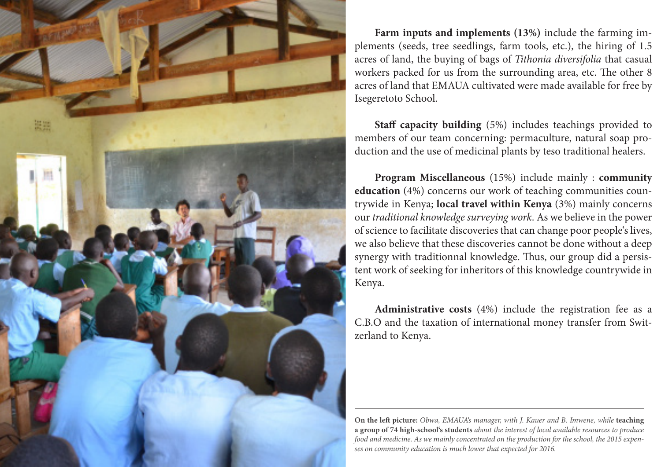

**Farm inputs and implements (13%)** include the farming implements (seeds, tree seedlings, farm tools, etc.), the hiring of 1.5 acres of land, the buying of bags of *Tithonia diversifolia* that casual workers packed for us from the surrounding area, etc. The other 8 acres of land that EMAUA cultivated were made available for free by Isegeretoto School.

**Staff capacity building** (5%) includes teachings provided to members of our team concerning: permaculture, natural soap production and the use of medicinal plants by teso traditional healers.

**Program Miscellaneous** (15%) include mainly : **community education** (4%) concerns our work of teaching communities countrywide in Kenya; **local travel within Kenya** (3%) mainly concerns our *traditional knowledge surveying work*. As we believe in the power of science to facilitate discoveries that can change poor people's lives, we also believe that these discoveries cannot be done without a deep synergy with traditionnal knowledge. Thus, our group did a persistent work of seeking for inheritors of this knowledge countrywide in Kenya.

**Administrative costs** (4%) include the registration fee as a C.B.O and the taxation of international money transfer from Switzerland to Kenya.

**On the left picture:** *Obwa, EMAUA's manager, with J. Kauer and B. Imwene, while* **teaching a group of 74 high-school's students** *about the interest of local available resources to produce food and medicine. As we mainly concentrated on the production for the school, the 2015 expenses on community education is much lower that expected for 2016.*